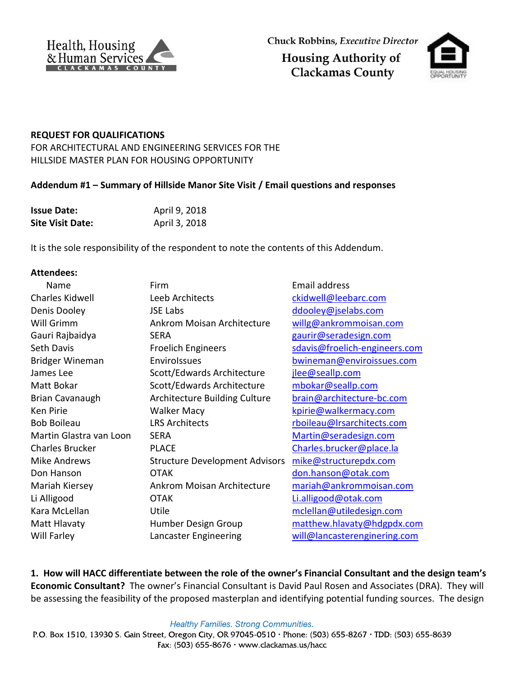



## **REQUEST FOR QUALIFICATIONS**

FOR ARCHITECTURAL AND ENGINEERING SERVICES FOR THE HILLSIDE MASTER PLAN FOR HOUSING OPPORTUNITY

## **Addendum #1 – Summary of Hillside Manor Site Visit / Email questions and responses**

| <b>Issue Date:</b>      | April 9, 2018 |
|-------------------------|---------------|
| <b>Site Visit Date:</b> | April 3, 2018 |

It is the sole responsibility of the respondent to note the contents of this Addendum.

## **Attendees:**

| Name                    | Firm                                  | Email address                 |
|-------------------------|---------------------------------------|-------------------------------|
| Charles Kidwell         | Leeb Architects                       | ckidwell@leebarc.com          |
| Denis Dooley            | <b>JSE Labs</b>                       | ddooley@jselabs.com           |
| Will Grimm              | Ankrom Moisan Architecture            | willg@ankrommoisan.com        |
| Gauri Rajbaidya         | <b>SERA</b>                           | gaurir@seradesign.com         |
| <b>Seth Davis</b>       | <b>Froelich Engineers</b>             | sdavis@froelich-engineers.com |
| <b>Bridger Wineman</b>  | Envirolssues                          | bwineman@enviroissues.com     |
| James Lee               | Scott/Edwards Architecture            | jlee@seallp.com               |
| Matt Bokar              | Scott/Edwards Architecture            | mbokar@seallp.com             |
| <b>Brian Cavanaugh</b>  | <b>Architecture Building Culture</b>  | brain@architecture-bc.com     |
| Ken Pirie               | <b>Walker Macy</b>                    | kpirie@walkermacy.com         |
| <b>Bob Boileau</b>      | <b>LRS Architects</b>                 | rboileau@Irsarchitects.com    |
| Martin Glastra van Loon | <b>SERA</b>                           | Martin@seradesign.com         |
| <b>Charles Brucker</b>  | <b>PLACE</b>                          | Charles.brucker@place.la      |
| <b>Mike Andrews</b>     | <b>Structure Development Advisors</b> | mike@structurepdx.com         |
| Don Hanson              | <b>OTAK</b>                           | don.hanson@otak.com           |
| Mariah Kiersey          | <b>Ankrom Moisan Architecture</b>     | mariah@ankrommoisan.com       |
| Li Alligood             | OTAK                                  | Li.alligood@otak.com          |
| Kara McLellan           | Utile                                 | mclellan@utiledesign.com      |
| Matt Hlavaty            | Humber Design Group                   | matthew.hlavaty@hdgpdx.com    |
| Will Farley             | Lancaster Engineering                 | will@lancasterenginering.com  |

**1. How will HACC differentiate between the role of the owner's Financial Consultant and the design team's Economic Consultant?** The owner's Financial Consultant is David Paul Rosen and Associates (DRA). They will be assessing the feasibility of the proposed masterplan and identifying potential funding sources. The design

**Healthy Families. Strong Communities.** 

P.O. Box 1510, 13930 S. Gain Street, Oregon City, OR 97045-0510 · Phone: (503) 655-8267 · TDD: (503) 655-8639 Fax:  $(503)$  655-8676 • www.clackamas.us/hacc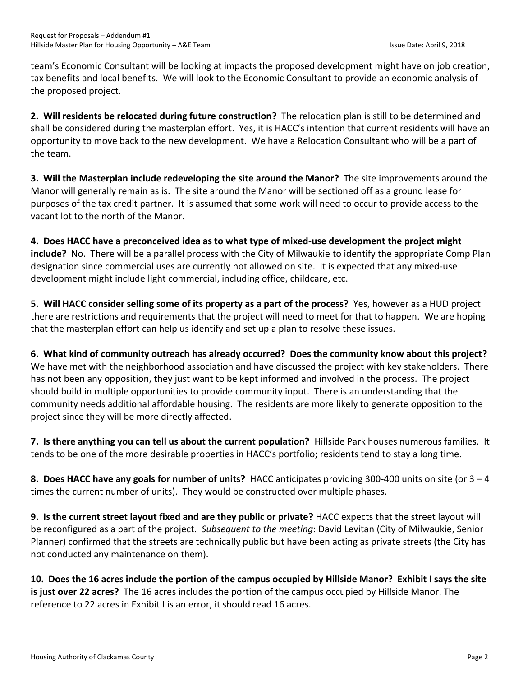team's Economic Consultant will be looking at impacts the proposed development might have on job creation, tax benefits and local benefits. We will look to the Economic Consultant to provide an economic analysis of the proposed project.

**2. Will residents be relocated during future construction?** The relocation plan is still to be determined and shall be considered during the masterplan effort. Yes, it is HACC's intention that current residents will have an opportunity to move back to the new development. We have a Relocation Consultant who will be a part of the team.

**3. Will the Masterplan include redeveloping the site around the Manor?** The site improvements around the Manor will generally remain as is. The site around the Manor will be sectioned off as a ground lease for purposes of the tax credit partner. It is assumed that some work will need to occur to provide access to the vacant lot to the north of the Manor.

**4. Does HACC have a preconceived idea as to what type of mixed-use development the project might include?** No. There will be a parallel process with the City of Milwaukie to identify the appropriate Comp Plan designation since commercial uses are currently not allowed on site. It is expected that any mixed-use development might include light commercial, including office, childcare, etc.

**5. Will HACC consider selling some of its property as a part of the process?** Yes, however as a HUD project there are restrictions and requirements that the project will need to meet for that to happen. We are hoping that the masterplan effort can help us identify and set up a plan to resolve these issues.

**6. What kind of community outreach has already occurred? Does the community know about this project?** We have met with the neighborhood association and have discussed the project with key stakeholders. There has not been any opposition, they just want to be kept informed and involved in the process. The project should build in multiple opportunities to provide community input. There is an understanding that the community needs additional affordable housing. The residents are more likely to generate opposition to the project since they will be more directly affected.

**7. Is there anything you can tell us about the current population?** Hillside Park houses numerous families. It tends to be one of the more desirable properties in HACC's portfolio; residents tend to stay a long time.

**8. Does HACC have any goals for number of units?** HACC anticipates providing 300-400 units on site (or 3 – 4 times the current number of units). They would be constructed over multiple phases.

**9. Is the current street layout fixed and are they public or private?** HACC expects that the street layout will be reconfigured as a part of the project. *Subsequent to the meeting*: David Levitan (City of Milwaukie, Senior Planner) confirmed that the streets are technically public but have been acting as private streets (the City has not conducted any maintenance on them).

**10. Does the 16 acres include the portion of the campus occupied by Hillside Manor? Exhibit I says the site is just over 22 acres?** The 16 acres includes the portion of the campus occupied by Hillside Manor. The reference to 22 acres in Exhibit I is an error, it should read 16 acres.